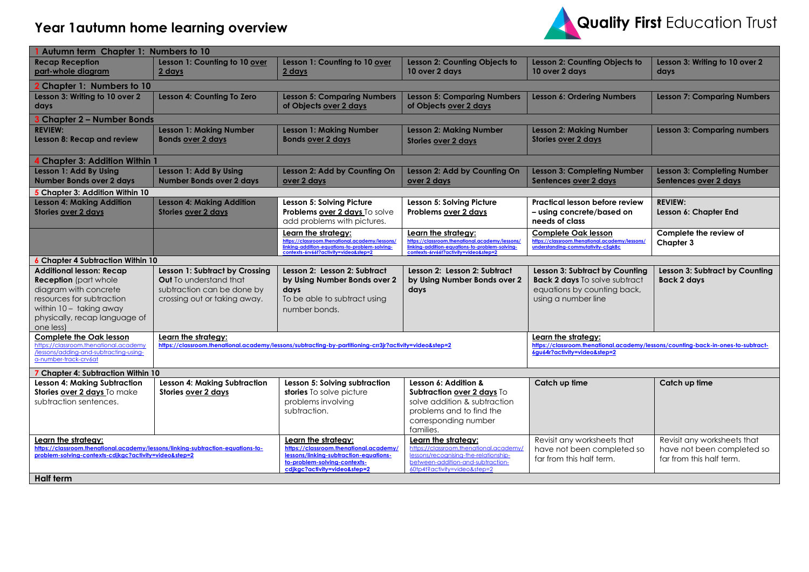## **Year 1autumn home learning overview**



| Autumn term Chapter 1: Numbers to 10                                                                                                                                                           |                                                                                                                               |                                                                                                                                                                         |                                                                                                                                                                             |                                                                                                                              |                                                                                       |  |  |  |
|------------------------------------------------------------------------------------------------------------------------------------------------------------------------------------------------|-------------------------------------------------------------------------------------------------------------------------------|-------------------------------------------------------------------------------------------------------------------------------------------------------------------------|-----------------------------------------------------------------------------------------------------------------------------------------------------------------------------|------------------------------------------------------------------------------------------------------------------------------|---------------------------------------------------------------------------------------|--|--|--|
| <b>Recap Reception</b><br>part-whole diagram                                                                                                                                                   | Lesson 1: Counting to 10 over<br>2 days                                                                                       | Lesson 1: Counting to 10 over<br>2 days                                                                                                                                 | Lesson 2: Counting Objects to<br>10 over 2 days                                                                                                                             | Lesson 2: Counting Objects to<br>10 over 2 days                                                                              | Lesson 3: Writing to 10 over 2<br>days                                                |  |  |  |
| 2 Chapter 1: Numbers to 10                                                                                                                                                                     |                                                                                                                               |                                                                                                                                                                         |                                                                                                                                                                             |                                                                                                                              |                                                                                       |  |  |  |
| Lesson 3: Writing to 10 over 2<br>days                                                                                                                                                         | Lesson 4: Counting To Zero                                                                                                    | <b>Lesson 5: Comparing Numbers</b><br>of Objects over 2 days                                                                                                            | <b>Lesson 5: Comparing Numbers</b><br>of Objects over 2 days                                                                                                                | <b>Lesson 6: Ordering Numbers</b>                                                                                            | <b>Lesson 7: Comparing Numbers</b>                                                    |  |  |  |
| 3 Chapter 2 – Number Bonds                                                                                                                                                                     |                                                                                                                               |                                                                                                                                                                         |                                                                                                                                                                             |                                                                                                                              |                                                                                       |  |  |  |
| <b>REVIEW:</b><br>Lesson 8: Recap and review                                                                                                                                                   | <b>Lesson 1: Making Number</b><br><b>Bonds over 2 days</b>                                                                    | <b>Lesson 1: Making Number</b><br><b>Bonds over 2 days</b>                                                                                                              | <b>Lesson 2: Making Number</b><br>Stories over 2 days                                                                                                                       | <b>Lesson 2: Making Number</b><br><b>Stories over 2 days</b>                                                                 | <b>Lesson 3: Comparing numbers</b>                                                    |  |  |  |
| 4 Chapter 3: Addition Within 1                                                                                                                                                                 |                                                                                                                               |                                                                                                                                                                         |                                                                                                                                                                             |                                                                                                                              |                                                                                       |  |  |  |
| Lesson 1: Add By Using<br><b>Number Bonds over 2 days</b>                                                                                                                                      | Lesson 1: Add By Using<br><b>Number Bonds over 2 days</b>                                                                     | Lesson 2: Add by Counting On<br>over 2 days                                                                                                                             | Lesson 2: Add by Counting On<br>over 2 days                                                                                                                                 | <b>Lesson 3: Completing Number</b><br>Sentences over 2 days                                                                  | <b>Lesson 3: Completing Number</b><br>Sentences over 2 days                           |  |  |  |
| 5 Chapter 3: Addition Within 10                                                                                                                                                                |                                                                                                                               |                                                                                                                                                                         |                                                                                                                                                                             |                                                                                                                              |                                                                                       |  |  |  |
| <b>Lesson 4: Making Addition</b><br><b>Stories over 2 days</b>                                                                                                                                 | <b>Lesson 4: Making Addition</b><br>Stories over 2 days                                                                       | Lesson 5: Solving Picture<br>Problems over 2 days To solve<br>add problems with pictures.                                                                               | Lesson 5: Solving Picture<br>Problems over 2 days                                                                                                                           | <b>Practical lesson before review</b><br>- using concrete/based on<br>needs of class                                         | <b>REVIEW:</b><br>Lesson 6: Chapter End                                               |  |  |  |
|                                                                                                                                                                                                |                                                                                                                               | Learn the strategy:                                                                                                                                                     | Learn the strategy:                                                                                                                                                         | <b>Complete Oak lesson</b>                                                                                                   | Complete the review of                                                                |  |  |  |
|                                                                                                                                                                                                |                                                                                                                               | https://classroom.thenational.academy/lessons/<br>linking-addition-equations-to-problem-solving-<br>contexts-6rv66t?activity=video&step=2                               | https://classroom.thenational.academy/lessons/<br>inking-addition-equations-to-problem-solving-<br>contexts-6rv66t?activity=video&step=2                                    | https://classroom.thenational.academy/lessons/<br>understanding-commutativity-c5gk8c                                         | Chapter 3                                                                             |  |  |  |
| 6 Chapter 4 Subtraction Within 10                                                                                                                                                              |                                                                                                                               |                                                                                                                                                                         |                                                                                                                                                                             |                                                                                                                              |                                                                                       |  |  |  |
| <b>Additional lesson: Recap</b><br><b>Reception</b> (part whole<br>diagram with concrete<br>resources for subtraction<br>within 10 - taking away<br>physically, recap language of<br>one less) | Lesson 1: Subtract by Crossing<br><b>Out</b> To understand that<br>subtraction can be done by<br>crossing out or taking away. | Lesson 2: Lesson 2: Subtract<br>by Using Number Bonds over 2<br>days<br>To be able to subtract using<br>number bonds.                                                   | Lesson 2: Lesson 2: Subtract<br>by Using Number Bonds over 2<br>days                                                                                                        | Lesson 3: Subtract by Counting<br><b>Back 2 days</b> To solve subtract<br>equations by counting back,<br>using a number line | Lesson 3: Subtract by Counting<br><b>Back 2 days</b>                                  |  |  |  |
| <b>Complete the Oak lesson</b>                                                                                                                                                                 | Learn the strateav:                                                                                                           |                                                                                                                                                                         |                                                                                                                                                                             | Learn the strateav:                                                                                                          |                                                                                       |  |  |  |
| https://classroom.thenational.academy<br>/lessons/adding-and-subtracting-using-<br>a-number-track-crv6at                                                                                       | https://classroom.thenational.academy/lessons/subtracting-by-partitioning-crr3jr?activity=video&step=2                        |                                                                                                                                                                         |                                                                                                                                                                             | https://classroom.thenational.academy/lessons/counting-back-in-ones-to-subtract-<br>6qu64r?activity=video&step=2             |                                                                                       |  |  |  |
| 7 Chapter 4: Subtraction Within 10                                                                                                                                                             |                                                                                                                               |                                                                                                                                                                         |                                                                                                                                                                             |                                                                                                                              |                                                                                       |  |  |  |
| <b>Lesson 4: Making Subtraction</b><br>Stories over 2 days To make<br>subtraction sentences.                                                                                                   | Lesson 4: Making Subtraction<br>Stories over 2 days                                                                           | Lesson 5: Solving subtraction<br>stories To solve picture<br>problems involving<br>subtraction.                                                                         | Lesson 6: Addition &<br>Subtraction over 2 days To<br>solve addition & subtraction<br>problems and to find the<br>corresponding number<br>families.                         | Catch up time                                                                                                                | Catch up time                                                                         |  |  |  |
| Learn the strateav:<br>https://classroom.thenational.academy/lessons/linking-subtraction-equations-to-<br>problem-solving-contexts-cdjkgc?activity=video&step=2<br><b>Half term</b>            |                                                                                                                               | Learn the strateav:<br>https://classroom.thenational.academy/<br>lessons/linking-subtraction-equations-<br>to-problem-solving-contexts-<br>cdjkgc?activity=video&step=2 | Learn the strategy:<br>https://classroom.thenational.academy/<br>lessons/recognising-the-relationship-<br>between-addition-and-subtraction-<br>60tp4t?activity=video&step=2 | Revisit any worksheets that<br>have not been completed so<br>far from this half term.                                        | Revisit any worksheets that<br>have not been completed so<br>far from this half term. |  |  |  |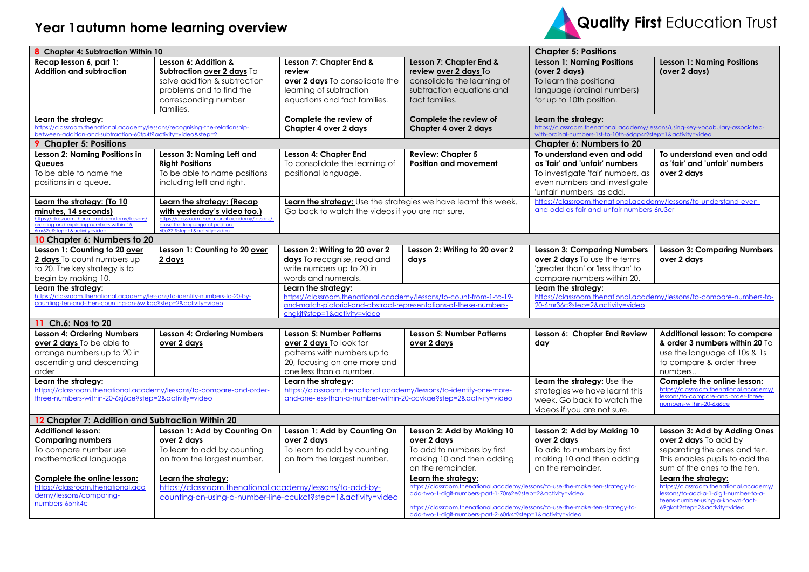## **Year 1autumn home learning overview**



| 8 Chapter 4: Subtraction Within 10                                                                                                                                                 |                                                                                                                                                                                   |                                                                                                                                                                                                   |                                                                                                                                                                                                                                                                                                                       | <b>Chapter 5: Positions</b>                                                                                                                                            |                                                                                                                                                                            |  |
|------------------------------------------------------------------------------------------------------------------------------------------------------------------------------------|-----------------------------------------------------------------------------------------------------------------------------------------------------------------------------------|---------------------------------------------------------------------------------------------------------------------------------------------------------------------------------------------------|-----------------------------------------------------------------------------------------------------------------------------------------------------------------------------------------------------------------------------------------------------------------------------------------------------------------------|------------------------------------------------------------------------------------------------------------------------------------------------------------------------|----------------------------------------------------------------------------------------------------------------------------------------------------------------------------|--|
| Recap lesson 6, part 1:<br><b>Addition and subtraction</b>                                                                                                                         | Lesson 6: Addition &<br>Subtraction over 2 days To<br>solve addition & subtraction<br>problems and to find the<br>corresponding number<br>families.                               | Lesson 7: Chapter End &<br>review<br>over 2 days To consolidate the<br>learning of subtraction<br>equations and fact families.                                                                    | Lesson 7: Chapter End &<br>review over 2 days To<br>consolidate the learning of<br>subtraction equations and<br>fact families.                                                                                                                                                                                        | <b>Lesson 1: Naming Positions</b><br>(over 2 days)<br>To learn the positional<br>language (ordinal numbers)<br>for up to 10th position.                                | <b>Lesson 1: Naming Positions</b><br>(over 2 days)                                                                                                                         |  |
| Learn the strategy:<br>https://classroom.thenational.academy/lessons/recognising-the-relationship-<br>between-addition-and-subtraction-60tp4t?activity=video&step=2                |                                                                                                                                                                                   | Complete the review of<br>Chapter 4 over 2 days                                                                                                                                                   | Complete the review of<br>Chapter 4 over 2 days                                                                                                                                                                                                                                                                       | Learn the strategy:<br>https://classroom.thenational.academy/lessons/using-key-vocabulary-associated-<br>with-ordinal-numbers-1st-to-10th-6dgp4r?step=1&activity=video |                                                                                                                                                                            |  |
| <b>9</b> Chapter 5: Positions                                                                                                                                                      |                                                                                                                                                                                   |                                                                                                                                                                                                   |                                                                                                                                                                                                                                                                                                                       | Chapter 6: Numbers to 20                                                                                                                                               |                                                                                                                                                                            |  |
| Lesson 2: Naming Positions in<br><b>Queues</b><br>To be able to name the<br>positions in a queue.                                                                                  | Lesson 3: Naming Left and<br><b>Right Positions</b><br>To be able to name positions<br>including left and right.                                                                  | Lesson 4: Chapter End<br>To consolidate the learning of<br>positional language.                                                                                                                   | <b>Review: Chapter 5</b><br><b>Position and movement</b>                                                                                                                                                                                                                                                              | To understand even and odd<br>as 'fair' and 'unfair' numbers<br>To investigate 'fair' numbers, as<br>even numbers and investigate<br>'unfair' numbers, as odd.         | To understand even and odd<br>as 'fair' and 'unfair' numbers<br>over 2 days                                                                                                |  |
| Learn the strategy: (To 10<br>minutes, 14 seconds)<br>https://classroom.thenational.academy/lessons/<br>ordering-and-exploring-numbers-within-15-<br>Amr62c2sten=18.activity=vider | Learn the strategy: (Recap<br>with yesterday's video too.)<br>https://classroom.thenational.academy/lessons/t<br>o-use-the-language-of-position-<br>A0u32t2sten=18.activity=video | Learn the strategy: Use the strategies we have learnt this week.<br>Go back to watch the videos if you are not sure.                                                                              |                                                                                                                                                                                                                                                                                                                       | https://classroom.thenational.academy/lessons/to-understand-even-<br>and-odd-as-fair-and-unfair-numbers-6ru3er                                                         |                                                                                                                                                                            |  |
| 10 Chapter 6: Numbers to 20                                                                                                                                                        |                                                                                                                                                                                   |                                                                                                                                                                                                   |                                                                                                                                                                                                                                                                                                                       |                                                                                                                                                                        |                                                                                                                                                                            |  |
| Lesson 1: Counting to 20 over<br><b>2 days</b> To count numbers up<br>to 20. The key strategy is to<br>begin by making 10.                                                         | Lesson 1: Counting to 20 over<br>2 days                                                                                                                                           | Lesson 2: Writing to 20 over 2<br>days To recognise, read and<br>write numbers up to 20 in<br>words and numerals.                                                                                 | Lesson 2: Writing to 20 over 2<br>days                                                                                                                                                                                                                                                                                | <b>Lesson 3: Comparing Numbers</b><br><b>over 2 days</b> To use the terms<br>'greater than' or 'less than' to<br>compare numbers within 20.                            | <b>Lesson 3: Comparing Numbers</b><br>over 2 days                                                                                                                          |  |
| Learn the strategy:<br>https://classroom.thenational.academy/lessons/to-identify-numbers-to-20-by-<br>counting-ten-and-then-counting-on-6wtkgc?step=2&activity=video               |                                                                                                                                                                                   | Learn the strategy:<br>https://classroom.thenational.academy/lessons/to-count-from-1-to-19-<br>and-match-pictorial-and-abstract-representations-of-these-numbers-<br>chgkjt?step=1&activity=video |                                                                                                                                                                                                                                                                                                                       | Learn the strategy:<br>https://classroom.thenational.academy/lessons/to-compare-numbers-to-<br>20-6mr36c?step=2&activity=video                                         |                                                                                                                                                                            |  |
| 11 Ch.6: Nos to 20                                                                                                                                                                 |                                                                                                                                                                                   |                                                                                                                                                                                                   |                                                                                                                                                                                                                                                                                                                       |                                                                                                                                                                        |                                                                                                                                                                            |  |
| <b>Lesson 4: Ordering Numbers</b><br>over 2 days To be able to<br>arrange numbers up to 20 in<br>ascending and descending<br>order                                                 | <b>Lesson 4: Ordering Numbers</b><br>over 2 days                                                                                                                                  | <b>Lesson 5: Number Patterns</b><br>over 2 days To look for<br>patterns with numbers up to<br>20, focusing on one more and<br>one less than a number.                                             | Lesson 5: Number Patterns<br>over 2 days                                                                                                                                                                                                                                                                              | Lesson 6: Chapter End Review<br>day                                                                                                                                    | Additional lesson: To compare<br>& order 3 numbers within 20 To<br>use the language of 10s & 1s<br>to compare & order three<br>numbers.                                    |  |
| Learn the strategy:<br>https://classroom.thenational.academy/lessons/to-compare-and-order-<br>three-numbers-within-20-6xj6ce?step=2&activity=video                                 |                                                                                                                                                                                   | Learn the strategy:<br>https://classroom.thenational.academy/lessons/to-identify-one-more-<br>and-one-less-than-a-number-within-20-ccvkae?step=2&activity=video                                   |                                                                                                                                                                                                                                                                                                                       | Learn the strategy: Use the<br>strategies we have learnt this<br>week. Go back to watch the<br>videos if you are not sure.                                             | Complete the online lesson:<br>https://classroom.thenational.academy/<br>lessons/to-compare-and-order-three-<br>numbers-within-20-6xi6ce                                   |  |
| 12 Chapter 7: Addition and Subtraction Within 20                                                                                                                                   |                                                                                                                                                                                   |                                                                                                                                                                                                   |                                                                                                                                                                                                                                                                                                                       |                                                                                                                                                                        |                                                                                                                                                                            |  |
| <b>Additional lesson:</b><br><b>Comparing numbers</b><br>To compare number use<br>mathematical language                                                                            | Lesson 1: Add by Counting On<br>over 2 days<br>To learn to add by counting<br>on from the largest number.                                                                         | Lesson 1: Add by Counting On<br>over 2 days<br>To learn to add by counting<br>on from the largest number.                                                                                         | Lesson 2: Add by Making 10<br>over 2 days<br>To add to numbers by first<br>making 10 and then adding<br>on the remainder.                                                                                                                                                                                             | Lesson 2: Add by Making 10<br>over 2 davs<br>To add to numbers by first<br>making 10 and then adding<br>on the remainder.                                              | Lesson 3: Add by Adding Ones<br>over 2 days To add by<br>separating the ones and ten.<br>This enables pupils to add the<br>sum of the ones to the ten.                     |  |
| Complete the online lesson:<br>https://classroom.thenational.aca<br>demy/lessons/comparing-<br>numbers-65hk4c                                                                      | Learn the strategy:<br>https://classroom.thenational.academy/lessons/to-add-by-<br>counting-on-using-g-number-line-ccukct?step=1&gctivity=video                                   |                                                                                                                                                                                                   | Learn the strategy:<br>https://classroom.thenational.academy/lessons/to-use-the-make-ten-strategy-to-<br>add-two-1-digit-numbers-part-1-70r62e?step=2&activity=video<br>https://classroom.thenational.academy/lessons/to-use-the-make-ten-strategy-to-<br>add-two-1-digit-numbers-part-2-60rk4t?step=1&activity=video |                                                                                                                                                                        | Learn the strategy:<br>https://classroom.thenational.academy/<br>lessons/to-add-a-1-digit-number-to-a-<br>teens-number-using-a-known-fact-<br>69gkat?step=2&activity=video |  |